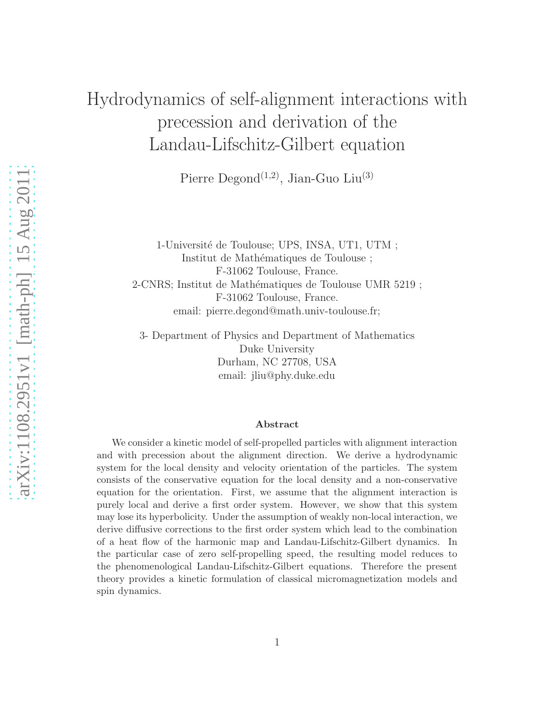# Hydrodynamics of self-alignment interactions with precession and derivation of the Landau-Lifschitz-Gilbert equation

Pierre Degond<sup>(1,2)</sup>, Jian-Guo Liu<sup>(3)</sup>

1-Université de Toulouse; UPS, INSA, UT1, UTM ; Institut de Mathématiques de Toulouse ; F-31062 Toulouse, France. 2-CNRS; Institut de Mathématiques de Toulouse UMR 5219 ; F-31062 Toulouse, France. email: pierre.degond@math.univ-toulouse.fr;

3- Department of Physics and Department of Mathematics Duke University Durham, NC 27708, USA email: jliu@phy.duke.edu

#### Abstract

We consider a kinetic model of self-propelled particles with alignment interaction and with precession about the alignment direction. We derive a hydrodynamic system for the local density and velocity orientation of the particles. The system consists of the conservative equation for the local density and a non-conservative equation for the orientation. First, we assume that the alignment interaction is purely local and derive a first order system. However, we show that this system may lose its hyperbolicity. Under the assumption of weakly non-local interaction, we derive diffusive corrections to the first order system which lead to the combination of a heat flow of the harmonic map and Landau-Lifschitz-Gilbert dynamics. In the particular case of zero self-propelling speed, the resulting model reduces to the phenomenological Landau-Lifschitz-Gilbert equations. Therefore the present theory provides a kinetic formulation of classical micromagnetization models and spin dynamics.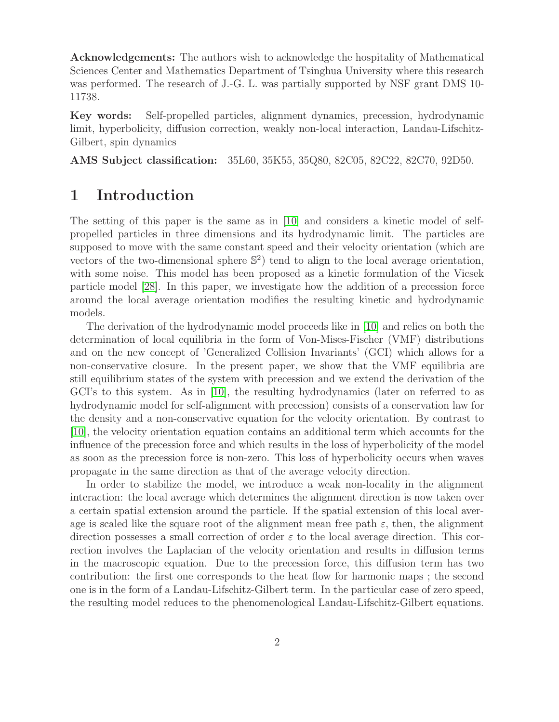Acknowledgements: The authors wish to acknowledge the hospitality of Mathematical Sciences Center and Mathematics Department of Tsinghua University where this research was performed. The research of J.-G. L. was partially supported by NSF grant DMS 10- 11738.

Key words: Self-propelled particles, alignment dynamics, precession, hydrodynamic limit, hyperbolicity, diffusion correction, weakly non-local interaction, Landau-Lifschitz-Gilbert, spin dynamics

AMS Subject classification: 35L60, 35K55, 35Q80, 82C05, 82C22, 82C70, 92D50.

## 1 Introduction

The setting of this paper is the same as in [\[10\]](#page-16-0) and considers a kinetic model of selfpropelled particles in three dimensions and its hydrodynamic limit. The particles are supposed to move with the same constant speed and their velocity orientation (which are vectors of the two-dimensional sphere  $\mathbb{S}^2$  tend to align to the local average orientation, with some noise. This model has been proposed as a kinetic formulation of the Vicsek particle model [\[28\]](#page-17-0). In this paper, we investigate how the addition of a precession force around the local average orientation modifies the resulting kinetic and hydrodynamic models.

The derivation of the hydrodynamic model proceeds like in [\[10\]](#page-16-0) and relies on both the determination of local equilibria in the form of Von-Mises-Fischer (VMF) distributions and on the new concept of 'Generalized Collision Invariants' (GCI) which allows for a non-conservative closure. In the present paper, we show that the VMF equilibria are still equilibrium states of the system with precession and we extend the derivation of the GCI's to this system. As in [\[10\]](#page-16-0), the resulting hydrodynamics (later on referred to as hydrodynamic model for self-alignment with precession) consists of a conservation law for the density and a non-conservative equation for the velocity orientation. By contrast to [\[10\]](#page-16-0), the velocity orientation equation contains an additional term which accounts for the influence of the precession force and which results in the loss of hyperbolicity of the model as soon as the precession force is non-zero. This loss of hyperbolicity occurs when waves propagate in the same direction as that of the average velocity direction.

In order to stabilize the model, we introduce a weak non-locality in the alignment interaction: the local average which determines the alignment direction is now taken over a certain spatial extension around the particle. If the spatial extension of this local average is scaled like the square root of the alignment mean free path  $\varepsilon$ , then, the alignment direction possesses a small correction of order  $\varepsilon$  to the local average direction. This correction involves the Laplacian of the velocity orientation and results in diffusion terms in the macroscopic equation. Due to the precession force, this diffusion term has two contribution: the first one corresponds to the heat flow for harmonic maps ; the second one is in the form of a Landau-Lifschitz-Gilbert term. In the particular case of zero speed, the resulting model reduces to the phenomenological Landau-Lifschitz-Gilbert equations.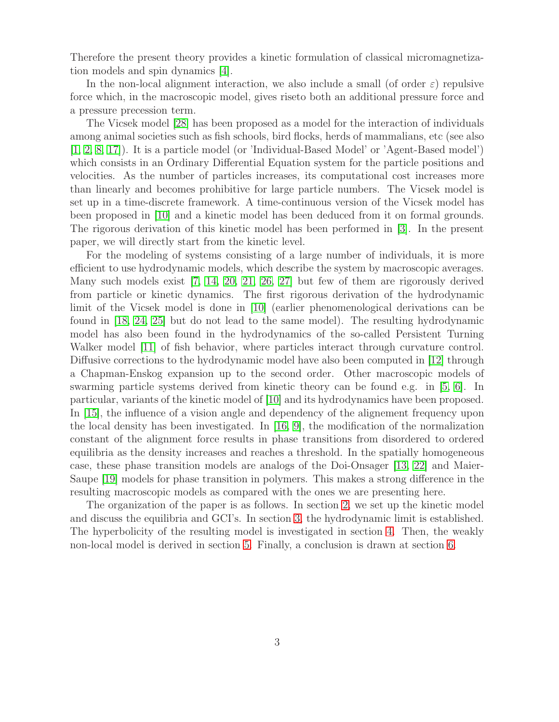Therefore the present theory provides a kinetic formulation of classical micromagnetization models and spin dynamics [\[4\]](#page-15-0).

In the non-local alignment interaction, we also include a small (of order  $\varepsilon$ ) repulsive force which, in the macroscopic model, gives riseto both an additional pressure force and a pressure precession term.

The Vicsek model [\[28\]](#page-17-0) has been proposed as a model for the interaction of individuals among animal societies such as fish schools, bird flocks, herds of mammalians, etc (see also [\[1,](#page-15-1) [2,](#page-15-2) [8,](#page-16-1) [17\]](#page-16-2)). It is a particle model (or 'Individual-Based Model' or 'Agent-Based model') which consists in an Ordinary Differential Equation system for the particle positions and velocities. As the number of particles increases, its computational cost increases more than linearly and becomes prohibitive for large particle numbers. The Vicsek model is set up in a time-discrete framework. A time-continuous version of the Vicsek model has been proposed in [\[10\]](#page-16-0) and a kinetic model has been deduced from it on formal grounds. The rigorous derivation of this kinetic model has been performed in [\[3\]](#page-15-3). In the present paper, we will directly start from the kinetic level.

For the modeling of systems consisting of a large number of individuals, it is more efficient to use hydrodynamic models, which describe the system by macroscopic averages. Many such models exist [\[7,](#page-16-3) [14,](#page-16-4) [20,](#page-16-5) [21,](#page-17-1) [26,](#page-17-2) [27\]](#page-17-3) but few of them are rigorously derived from particle or kinetic dynamics. The first rigorous derivation of the hydrodynamic limit of the Vicsek model is done in [\[10\]](#page-16-0) (earlier phenomenological derivations can be found in [\[18,](#page-16-6) [24,](#page-17-4) [25\]](#page-17-5) but do not lead to the same model). The resulting hydrodynamic model has also been found in the hydrodynamics of the so-called Persistent Turning Walker model [\[11\]](#page-16-7) of fish behavior, where particles interact through curvature control. Diffusive corrections to the hydrodynamic model have also been computed in [\[12\]](#page-16-8) through a Chapman-Enskog expansion up to the second order. Other macroscopic models of swarming particle systems derived from kinetic theory can be found e.g. in [\[5,](#page-15-4) [6\]](#page-16-9). In particular, variants of the kinetic model of [\[10\]](#page-16-0) and its hydrodynamics have been proposed. In [\[15\]](#page-16-10), the influence of a vision angle and dependency of the alignement frequency upon the local density has been investigated. In [\[16,](#page-16-11) [9\]](#page-16-12), the modification of the normalization constant of the alignment force results in phase transitions from disordered to ordered equilibria as the density increases and reaches a threshold. In the spatially homogeneous case, these phase transition models are analogs of the Doi-Onsager [\[13,](#page-16-13) [22\]](#page-17-6) and Maier-Saupe [\[19\]](#page-16-14) models for phase transition in polymers. This makes a strong difference in the resulting macroscopic models as compared with the ones we are presenting here.

The organization of the paper is as follows. In section [2,](#page-3-0) we set up the kinetic model and discuss the equilibria and GCI's. In section [3,](#page-6-0) the hydrodynamic limit is established. The hyperbolicity of the resulting model is investigated in section [4.](#page-9-0) Then, the weakly non-local model is derived in section [5.](#page-11-0) Finally, a conclusion is drawn at section [6.](#page-15-5)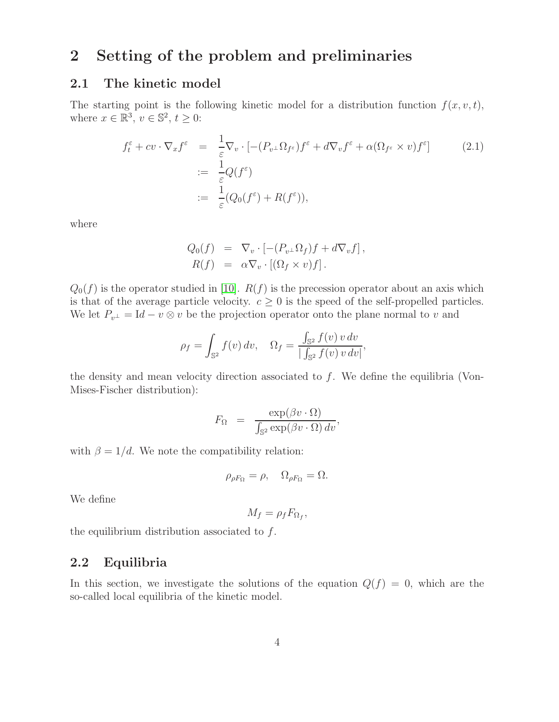## <span id="page-3-0"></span>2 Setting of the problem and preliminaries

#### 2.1 The kinetic model

The starting point is the following kinetic model for a distribution function  $f(x, v, t)$ , where  $x \in \mathbb{R}^3$ ,  $v \in \mathbb{S}^2$ ,  $t \geq 0$ :

<span id="page-3-1"></span>
$$
f_t^{\varepsilon} + cv \cdot \nabla_x f^{\varepsilon} = \frac{1}{\varepsilon} \nabla_v \cdot \left[ -(P_{v^{\perp}} \Omega_{f^{\varepsilon}}) f^{\varepsilon} + d \nabla_v f^{\varepsilon} + \alpha (\Omega_{f^{\varepsilon}} \times v) f^{\varepsilon} \right]
$$
  
:=  $\frac{1}{\varepsilon} Q(f^{\varepsilon})$   
:=  $\frac{1}{\varepsilon} (Q_0(f^{\varepsilon}) + R(f^{\varepsilon})),$  (2.1)

where

$$
Q_0(f) = \nabla_v \cdot \left[ -(P_{v^{\perp}} \Omega_f) f + d \nabla_v f \right],
$$
  
\n
$$
R(f) = \alpha \nabla_v \cdot \left[ (\Omega_f \times v) f \right].
$$

 $Q_0(f)$  is the operator studied in [\[10\]](#page-16-0).  $R(f)$  is the precession operator about an axis which is that of the average particle velocity.  $c \geq 0$  is the speed of the self-propelled particles. We let  $P_{v^{\perp}} = \text{Id} - v \otimes v$  be the projection operator onto the plane normal to v and

$$
\rho_f = \int_{\mathbb{S}^2} f(v) dv, \quad \Omega_f = \frac{\int_{\mathbb{S}^2} f(v) v dv}{|\int_{\mathbb{S}^2} f(v) v dv|},
$$

the density and mean velocity direction associated to  $f$ . We define the equilibria (Von-Mises-Fischer distribution):

$$
F_{\Omega} = \frac{\exp(\beta v \cdot \Omega)}{\int_{\mathbb{S}^2} \exp(\beta v \cdot \Omega) dv},
$$

with  $\beta = 1/d$ . We note the compatibility relation:

$$
\rho_{\rho F_{\Omega}} = \rho, \quad \Omega_{\rho F_{\Omega}} = \Omega.
$$

We define

$$
M_f = \rho_f F_{\Omega_f},
$$

the equilibrium distribution associated to  $f$ .

#### 2.2 Equilibria

<span id="page-3-2"></span>In this section, we investigate the solutions of the equation  $Q(f) = 0$ , which are the so-called local equilibria of the kinetic model.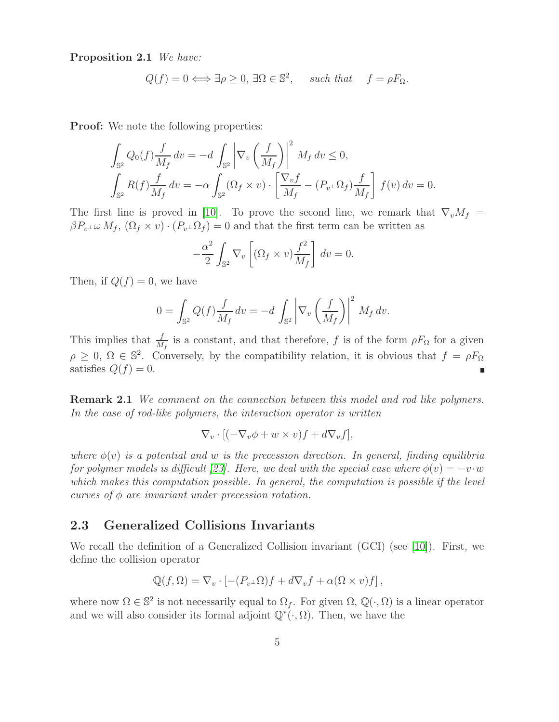Proposition 2.1 We have:

$$
Q(f) = 0 \Longleftrightarrow \exists \rho \ge 0, \exists \Omega \in \mathbb{S}^2
$$
, such that  $f = \rho F_{\Omega}$ .

Proof: We note the following properties:

$$
\int_{\mathbb{S}^2} Q_0(f) \frac{f}{M_f} dv = -d \int_{\mathbb{S}^2} \left| \nabla_v \left( \frac{f}{M_f} \right) \right|^2 M_f dv \le 0,
$$
  

$$
\int_{\mathbb{S}^2} R(f) \frac{f}{M_f} dv = -\alpha \int_{\mathbb{S}^2} (\Omega_f \times v) \cdot \left[ \frac{\nabla_v f}{M_f} - (P_{v^{\perp}} \Omega_f) \frac{f}{M_f} \right] f(v) dv = 0.
$$

The first line is proved in [\[10\]](#page-16-0). To prove the second line, we remark that  $\nabla_v M_f =$  $\beta P_{v^{\perp}} \omega M_f$ ,  $(\Omega_f \times v) \cdot (P_{v^{\perp}} \Omega_f) = 0$  and that the first term can be written as

$$
-\frac{\alpha^2}{2} \int_{\mathbb{S}^2} \nabla_v \left[ (\Omega_f \times v) \frac{f^2}{M_f} \right] dv = 0.
$$

Then, if  $Q(f) = 0$ , we have

$$
0 = \int_{\mathbb{S}^2} Q(f) \frac{f}{M_f} dv = -d \int_{\mathbb{S}^2} \left| \nabla_v \left( \frac{f}{M_f} \right) \right|^2 M_f dv.
$$

This implies that  $\frac{f}{M_f}$  is a constant, and that therefore, f is of the form  $\rho F_\Omega$  for a given  $\rho \geq 0, \Omega \in \mathbb{S}^2$ . Conversely, by the compatibility relation, it is obvious that  $f = \rho F_{\Omega}$ satisfies  $Q(f) = 0$ . П

Remark 2.1 We comment on the connection between this model and rod like polymers. In the case of rod-like polymers, the interaction operator is written

$$
\nabla_v \cdot [(-\nabla_v \phi + w \times v)f + d\nabla_v f],
$$

where  $\phi(v)$  is a potential and w is the precession direction. In general, finding equilibria for polymer models is difficult [\[23\]](#page-17-7). Here, we deal with the special case where  $\phi(v) = -v \cdot w$ which makes this computation possible. In general, the computation is possible if the level curves of  $\phi$  are invariant under precession rotation.

#### 2.3 Generalized Collisions Invariants

We recall the definition of a Generalized Collision invariant (GCI) (see [\[10\]](#page-16-0)). First, we define the collision operator

$$
\mathbb{Q}(f,\Omega) = \nabla_v \cdot \left[ -(P_{v^{\perp}}\Omega)f + d\nabla_v f + \alpha(\Omega \times v)f \right],
$$

<span id="page-4-0"></span>where now  $\Omega \in \mathbb{S}^2$  is not necessarily equal to  $\Omega_f$ . For given  $\Omega$ ,  $\mathbb{Q}(\cdot, \Omega)$  is a linear operator and we will also consider its formal adjoint  $\mathbb{Q}^*(\cdot, \Omega)$ . Then, we have the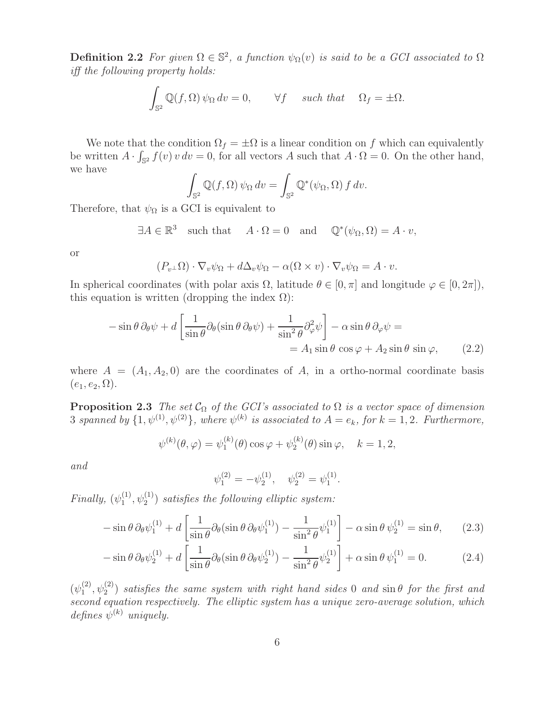**Definition 2.2** For given  $\Omega \in \mathbb{S}^2$ , a function  $\psi_{\Omega}(v)$  is said to be a GCI associated to  $\Omega$ iff the following property holds:

$$
\int_{\mathbb{S}^2} \mathbb{Q}(f, \Omega) \psi_{\Omega} dv = 0, \qquad \forall f \quad such \, that \quad \Omega_f = \pm \Omega.
$$

We note that the condition  $\Omega_f = \pm \Omega$  is a linear condition on f which can equivalently be written  $A \cdot \int_{\mathbb{S}^2} f(v) v dv = 0$ , for all vectors A such that  $A \cdot \Omega = 0$ . On the other hand, we have

$$
\int_{\mathbb{S}^2} \mathbb{Q}(f,\Omega) \,\psi_{\Omega} \, dv = \int_{\mathbb{S}^2} \mathbb{Q}^*(\psi_{\Omega},\Omega) \, f \, dv.
$$

Therefore, that  $\psi_{\Omega}$  is a GCI is equivalent to

$$
\exists A \in \mathbb{R}^3 \quad \text{such that} \quad A \cdot \Omega = 0 \quad \text{and} \quad \mathbb{Q}^*(\psi_\Omega, \Omega) = A \cdot v,
$$

or

$$
(P_{v^{\perp}}\Omega) \cdot \nabla_v \psi_{\Omega} + d\Delta_v \psi_{\Omega} - \alpha(\Omega \times v) \cdot \nabla_v \psi_{\Omega} = A \cdot v.
$$

In spherical coordinates (with polar axis  $\Omega$ , latitude  $\theta \in [0, \pi]$  and longitude  $\varphi \in [0, 2\pi]$ ), this equation is written (dropping the index  $\Omega$ ):

<span id="page-5-0"></span>
$$
-\sin\theta\,\partial_{\theta}\psi + d\left[\frac{1}{\sin\theta}\partial_{\theta}(\sin\theta\,\partial_{\theta}\psi) + \frac{1}{\sin^2\theta}\partial_{\varphi}^2\psi\right] - \alpha\sin\theta\,\partial_{\varphi}\psi =
$$
  
=  $A_1\sin\theta\,\cos\varphi + A_2\sin\theta\,\sin\varphi,$  (2.2)

where  $A = (A_1, A_2, 0)$  are the coordinates of A, in a ortho-normal coordinate basis  $(e_1, e_2, \Omega).$ 

**Proposition 2.3** The set  $C_{\Omega}$  of the GCI's associated to  $\Omega$  is a vector space of dimension 3 spanned by  $\{1, \psi^{(1)}, \psi^{(2)}\}$ , where  $\psi^{(k)}$  is associated to  $A = e_k$ , for  $k = 1, 2$ . Furthermore,

$$
\psi^{(k)}(\theta,\varphi) = \psi_1^{(k)}(\theta)\cos\varphi + \psi_2^{(k)}(\theta)\sin\varphi, \quad k = 1, 2,
$$

and

$$
\psi_1^{(2)} = -\psi_2^{(1)}, \quad \psi_2^{(2)} = \psi_1^{(1)}.
$$

Finally,  $(\psi_1^{(1)})$  $\mathcal{L}_1^{(1)}, \psi_2^{(1)}$  satisfies the following elliptic system:

<span id="page-5-1"></span>
$$
-\sin\theta\,\partial_{\theta}\psi_1^{(1)} + d\left[\frac{1}{\sin\theta}\partial_{\theta}(\sin\theta\,\partial_{\theta}\psi_1^{(1)}) - \frac{1}{\sin^2\theta}\psi_1^{(1)}\right] - \alpha\sin\theta\,\psi_2^{(1)} = \sin\theta,\qquad(2.3)
$$

$$
-\sin\theta\,\partial_{\theta}\psi_2^{(1)} + d\left[\frac{1}{\sin\theta}\partial_{\theta}(\sin\theta\,\partial_{\theta}\psi_2^{(1)}) - \frac{1}{\sin^2\theta}\psi_2^{(1)}\right] + \alpha\sin\theta\,\psi_1^{(1)} = 0.\tag{2.4}
$$

 $(\psi_1^{(2)}$  $\mathcal{L}_1^{(2)}, \psi_2^{(2)}$  satisfies the same system with right hand sides 0 and  $\sin \theta$  for the first and second equation respectively. The elliptic system has a unique zero-average solution, which defines  $\psi^{(k)}$  uniquely.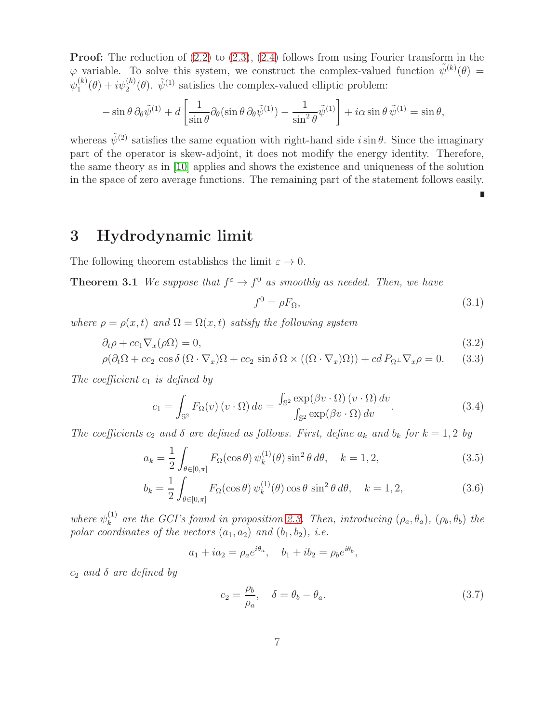Proof: The reduction of  $(2.2)$  to  $(2.3)$ ,  $(2.4)$  follows from using Fourier transform in the  $\varphi$  variable. To solve this system, we construct the complex-valued function  $\tilde{\psi}^{(k)}(\theta) =$  $\psi_1^{(k)}$  $1^{(k)}_1(\theta) + i\psi_2^{(k)}(\theta)$ .  $\tilde{\psi}^{(1)}$  satisfies the complex-valued elliptic problem:

$$
-\sin\theta\,\partial_{\theta}\tilde{\psi}^{(1)} + d\left[\frac{1}{\sin\theta}\partial_{\theta}(\sin\theta\,\partial_{\theta}\tilde{\psi}^{(1)}) - \frac{1}{\sin^2\theta}\tilde{\psi}^{(1)}\right] + i\alpha\sin\theta\,\tilde{\psi}^{(1)} = \sin\theta,
$$

whereas  $\tilde{\psi}^{(2)}$  satisfies the same equation with right-hand side  $i \sin \theta$ . Since the imaginary part of the operator is skew-adjoint, it does not modify the energy identity. Therefore, the same theory as in [\[10\]](#page-16-0) applies and shows the existence and uniqueness of the solution in the space of zero average functions. The remaining part of the statement follows easily.

Ė

## <span id="page-6-0"></span>3 Hydrodynamic limit

The following theorem establishes the limit  $\varepsilon \to 0$ .

**Theorem 3.1** We suppose that  $f^{\varepsilon} \to f^0$  as smoothly as needed. Then, we have

<span id="page-6-2"></span>
$$
f^0 = \rho F_\Omega,\tag{3.1}
$$

where  $\rho = \rho(x, t)$  and  $\Omega = \Omega(x, t)$  satisfy the following system

<span id="page-6-1"></span>
$$
\partial_t \rho + cc_1 \nabla_x (\rho \Omega) = 0, \tag{3.2}
$$

$$
\rho(\partial_t \Omega + cc_2 \cos \delta (\Omega \cdot \nabla_x) \Omega + cc_2 \sin \delta \Omega \times ((\Omega \cdot \nabla_x) \Omega)) + cd P_{\Omega^\perp} \nabla_x \rho = 0. \tag{3.3}
$$

The coefficient  $c_1$  is defined by

$$
c_1 = \int_{\mathbb{S}^2} F_{\Omega}(v) \left( v \cdot \Omega \right) dv = \frac{\int_{\mathbb{S}^2} \exp(\beta v \cdot \Omega) \left( v \cdot \Omega \right) dv}{\int_{\mathbb{S}^2} \exp(\beta v \cdot \Omega) dv}.
$$
 (3.4)

The coefficients  $c_2$  and  $\delta$  are defined as follows. First, define  $a_k$  and  $b_k$  for  $k = 1, 2$  by

<span id="page-6-3"></span>
$$
a_k = \frac{1}{2} \int_{\theta \in [0,\pi]} F_{\Omega}(\cos \theta) \psi_k^{(1)}(\theta) \sin^2 \theta \, d\theta, \quad k = 1, 2,
$$
\n(3.5)

$$
b_k = \frac{1}{2} \int_{\theta \in [0,\pi]} F_{\Omega}(\cos \theta) \psi_k^{(1)}(\theta) \cos \theta \sin^2 \theta d\theta, \quad k = 1, 2,
$$
 (3.6)

where  $\psi_k^{(1)}$  $\lambda_k^{(1)}$  are the GCI's found in proposition [2.3.](#page-5-1) Then, introducing  $(\rho_a, \theta_a)$ ,  $(\rho_b, \theta_b)$  the polar coordinates of the vectors  $(a_1, a_2)$  and  $(b_1, b_2)$ , i.e.

 $a_1 + ia_2 = \rho_a e^{i\theta_a}, \quad b_1 + ib_2 = \rho_b e^{i\theta_b},$ 

 $c_2$  and  $\delta$  are defined by

<span id="page-6-4"></span>
$$
c_2 = \frac{\rho_b}{\rho_a}, \quad \delta = \theta_b - \theta_a. \tag{3.7}
$$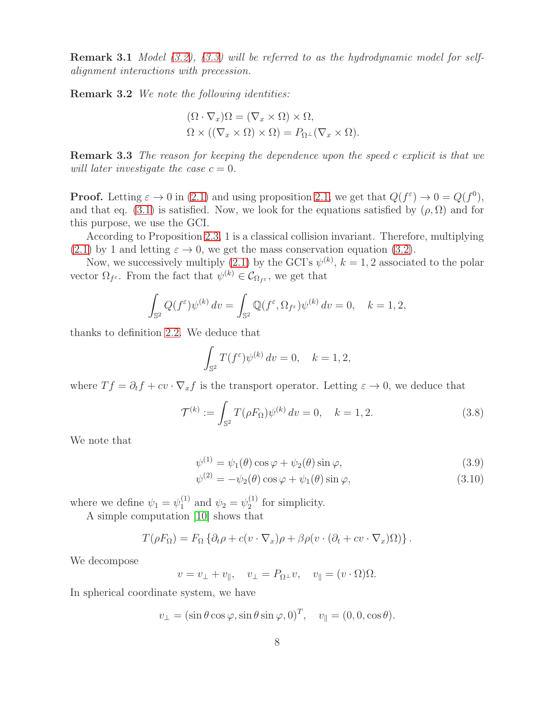**Remark 3.1** Model [\(3.2\)](#page-6-1), [\(3.3\)](#page-6-1) will be referred to as the hydrodynamic model for selfalignment interactions with precession.

Remark 3.2 We note the following identities:

$$
(\Omega \cdot \nabla_x)\Omega = (\nabla_x \times \Omega) \times \Omega,
$$
  

$$
\Omega \times ((\nabla_x \times \Omega) \times \Omega) = P_{\Omega^{\perp}}(\nabla_x \times \Omega).
$$

Remark 3.3 The reason for keeping the dependence upon the speed c explicit is that we will later investigate the case  $c = 0$ .

**Proof.** Letting  $\varepsilon \to 0$  in [\(2.1\)](#page-3-1) and using proposition [2.1,](#page-3-2) we get that  $Q(f^{\varepsilon}) \to 0 = Q(f^0)$ , and that eq. [\(3.1\)](#page-6-2) is satisfied. Now, we look for the equations satisfied by  $(\rho, \Omega)$  and for this purpose, we use the GCI.

According to Proposition [2.3,](#page-5-1) 1 is a classical collision invariant. Therefore, multiplying  $(2.1)$  by 1 and letting  $\varepsilon \to 0$ , we get the mass conservation equation [\(3.2\)](#page-6-1).

Now, we successively multiply [\(2.1\)](#page-3-1) by the GCI's  $\psi^{(k)}$ ,  $k = 1, 2$  associated to the polar vector  $\Omega_{f^{\varepsilon}}$ . From the fact that  $\psi^{(k)} \in \mathcal{C}_{\Omega_{f^{\varepsilon}}},$  we get that

$$
\int_{\mathbb{S}^2} Q(f^{\varepsilon}) \psi^{(k)} dv = \int_{\mathbb{S}^2} \mathbb{Q}(f^{\varepsilon}, \Omega_{f^{\varepsilon}}) \psi^{(k)} dv = 0, \quad k = 1, 2,
$$

thanks to definition [2.2.](#page-4-0) We deduce that

$$
\int_{\mathbb{S}^2} T(f^\varepsilon) \psi^{(k)} \, dv = 0, \quad k = 1, 2,
$$

where  $Tf = \partial_t f + cv \cdot \nabla_x f$  is the transport operator. Letting  $\varepsilon \to 0$ , we deduce that

<span id="page-7-0"></span>
$$
\mathcal{T}^{(k)} := \int_{\mathbb{S}^2} T(\rho F_{\Omega}) \psi^{(k)} \, dv = 0, \quad k = 1, 2. \tag{3.8}
$$

We note that

<span id="page-7-1"></span>
$$
\psi^{(1)} = \psi_1(\theta) \cos \varphi + \psi_2(\theta) \sin \varphi, \tag{3.9}
$$

$$
\psi^{(2)} = -\psi_2(\theta)\cos\varphi + \psi_1(\theta)\sin\varphi,\tag{3.10}
$$

where we define  $\psi_1 = \psi_1^{(1)}$  and  $\psi_2 = \psi_2^{(1)}$  $2^{(1)}$  for simplicity.

A simple computation [\[10\]](#page-16-0) shows that

$$
T(\rho F_{\Omega}) = F_{\Omega} \left\{ \partial_t \rho + c(v \cdot \nabla_x) \rho + \beta \rho (v \cdot (\partial_t + cv \cdot \nabla_x) \Omega) \right\}.
$$

We decompose

$$
v = v_{\perp} + v_{\parallel}, \quad v_{\perp} = P_{\Omega^{\perp}} v, \quad v_{\parallel} = (v \cdot \Omega) \Omega.
$$

In spherical coordinate system, we have

$$
v_{\perp} = (\sin \theta \cos \varphi, \sin \theta \sin \varphi, 0)^T, \quad v_{\parallel} = (0, 0, \cos \theta).
$$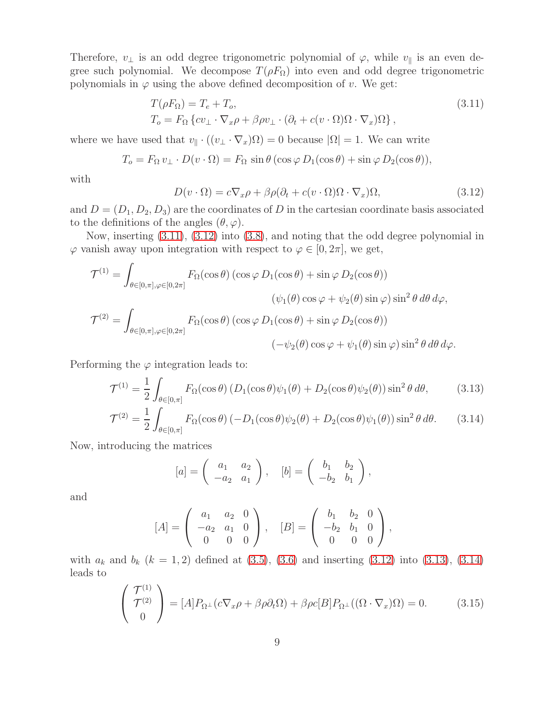Therefore,  $v_{\perp}$  is an odd degree trigonometric polynomial of  $\varphi$ , while  $v_{\parallel}$  is an even degree such polynomial. We decompose  $T(\rho F_{\Omega})$  into even and odd degree trigonometric polynomials in  $\varphi$  using the above defined decomposition of v. We get:

<span id="page-8-0"></span>
$$
T(\rho F_{\Omega}) = T_e + T_o,
$$
  
\n
$$
T_o = F_{\Omega} \{cv_{\perp} \cdot \nabla_x \rho + \beta \rho v_{\perp} \cdot (\partial_t + c(v \cdot \Omega) \Omega \cdot \nabla_x) \Omega \},
$$
\n(3.11)

where we have used that  $v_{\parallel} \cdot ((v_{\perp} \cdot \nabla_x) \Omega) = 0$  because  $|\Omega| = 1$ . We can write

$$
T_o = F_{\Omega} v_{\perp} \cdot D(v \cdot \Omega) = F_{\Omega} \sin \theta (\cos \varphi D_1(\cos \theta) + \sin \varphi D_2(\cos \theta)),
$$

with

<span id="page-8-1"></span>
$$
D(v \cdot \Omega) = c \nabla_x \rho + \beta \rho (\partial_t + c(v \cdot \Omega) \Omega \cdot \nabla_x) \Omega, \tag{3.12}
$$

and  $D = (D_1, D_2, D_3)$  are the coordinates of D in the cartesian coordinate basis associated to the definitions of the angles  $(\theta, \varphi)$ .

Now, inserting [\(3.11\)](#page-8-0), [\(3.12\)](#page-8-1) into [\(3.8\)](#page-7-0), and noting that the odd degree polynomial in  $\varphi$  vanish away upon integration with respect to  $\varphi \in [0, 2\pi]$ , we get,

$$
\mathcal{T}^{(1)} = \int_{\theta \in [0,\pi], \varphi \in [0,2\pi]} F_{\Omega}(\cos \theta) (\cos \varphi D_1(\cos \theta) + \sin \varphi D_2(\cos \theta))
$$

$$
(\psi_1(\theta) \cos \varphi + \psi_2(\theta) \sin \varphi) \sin^2 \theta d\theta d\varphi,
$$

$$
\mathcal{T}^{(2)} = \int_{\theta \in [0,\pi], \varphi \in [0,2\pi]} F_{\Omega}(\cos \theta) (\cos \varphi D_1(\cos \theta) + \sin \varphi D_2(\cos \theta))
$$

$$
(-\psi_2(\theta) \cos \varphi + \psi_1(\theta) \sin \varphi) \sin^2 \theta d\theta d\varphi.
$$

Performing the  $\varphi$  integration leads to:

<span id="page-8-2"></span>
$$
\mathcal{T}^{(1)} = \frac{1}{2} \int_{\theta \in [0,\pi]} F_{\Omega}(\cos \theta) \left( D_1(\cos \theta) \psi_1(\theta) + D_2(\cos \theta) \psi_2(\theta) \right) \sin^2 \theta \, d\theta, \tag{3.13}
$$

$$
\mathcal{T}^{(2)} = \frac{1}{2} \int_{\theta \in [0,\pi]} F_{\Omega}(\cos \theta) \left( -D_1(\cos \theta) \psi_2(\theta) + D_2(\cos \theta) \psi_1(\theta) \right) \sin^2 \theta \, d\theta. \tag{3.14}
$$

Now, introducing the matrices

$$
[a] = \left(\begin{array}{cc} a_1 & a_2 \\ -a_2 & a_1 \end{array}\right), \quad [b] = \left(\begin{array}{cc} b_1 & b_2 \\ -b_2 & b_1 \end{array}\right),
$$

and

$$
[A] = \begin{pmatrix} a_1 & a_2 & 0 \\ -a_2 & a_1 & 0 \\ 0 & 0 & 0 \end{pmatrix}, \quad [B] = \begin{pmatrix} b_1 & b_2 & 0 \\ -b_2 & b_1 & 0 \\ 0 & 0 & 0 \end{pmatrix},
$$

with  $a_k$  and  $b_k$  ( $k = 1, 2$ ) defined at [\(3.5\)](#page-6-3), [\(3.6\)](#page-6-3) and inserting [\(3.12\)](#page-8-1) into [\(3.13\)](#page-8-2), [\(3.14\)](#page-8-2) leads to

<span id="page-8-3"></span>
$$
\begin{pmatrix}\n\mathcal{T}^{(1)} \\
\mathcal{T}^{(2)} \\
0\n\end{pmatrix} = [A]P_{\Omega^{\perp}}(c\nabla_x \rho + \beta \rho \partial_t \Omega) + \beta \rho c[B]P_{\Omega^{\perp}}((\Omega \cdot \nabla_x)\Omega) = 0.
$$
\n(3.15)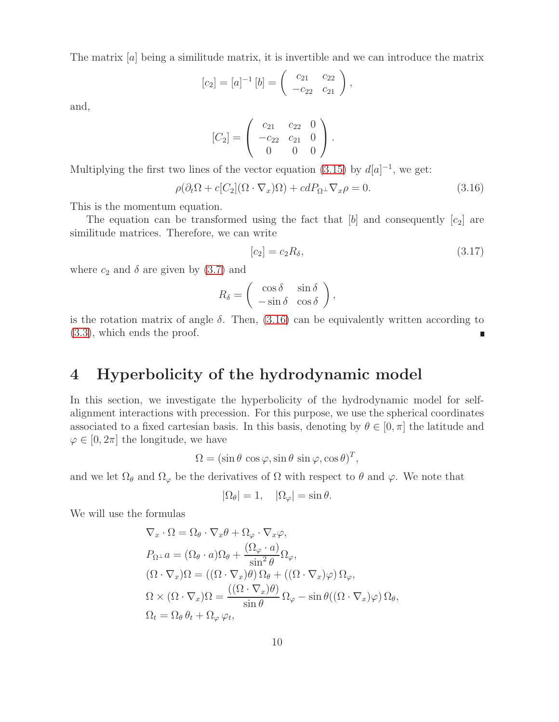The matrix [a] being a similitude matrix, it is invertible and we can introduce the matrix

$$
[c_2] = [a]^{-1} [b] = \begin{pmatrix} c_{21} & c_{22} \\ -c_{22} & c_{21} \end{pmatrix},
$$

and,

$$
[C_2] = \left(\begin{array}{ccc} c_{21} & c_{22} & 0 \\ -c_{22} & c_{21} & 0 \\ 0 & 0 & 0 \end{array}\right).
$$

Multiplying the first two lines of the vector equation [\(3.15\)](#page-8-3) by  $d[a]^{-1}$ , we get:

<span id="page-9-1"></span>
$$
\rho(\partial_t \Omega + c[C_2](\Omega \cdot \nabla_x)\Omega) + cdP_{\Omega^\perp} \nabla_x \rho = 0.
$$
\n(3.16)

This is the momentum equation.

The equation can be transformed using the fact that  $[b]$  and consequently  $[c_2]$  are similitude matrices. Therefore, we can write

<span id="page-9-2"></span>
$$
[c_2] = c_2 R_\delta,\tag{3.17}
$$

where  $c_2$  and  $\delta$  are given by [\(3.7\)](#page-6-4) and

$$
R_{\delta} = \begin{pmatrix} \cos \delta & \sin \delta \\ -\sin \delta & \cos \delta \end{pmatrix},
$$

is the rotation matrix of angle  $\delta$ . Then, [\(3.16\)](#page-9-1) can be equivalently written according to [\(3.3\)](#page-6-1), which ends the proof.

## <span id="page-9-0"></span>4 Hyperbolicity of the hydrodynamic model

In this section, we investigate the hyperbolicity of the hydrodynamic model for selfalignment interactions with precession. For this purpose, we use the spherical coordinates associated to a fixed cartesian basis. In this basis, denoting by  $\theta \in [0, \pi]$  the latitude and  $\varphi \in [0, 2\pi]$  the longitude, we have

 $\Omega = (\sin \theta \cos \varphi, \sin \theta \sin \varphi, \cos \theta)^T,$ 

and we let  $\Omega_{\theta}$  and  $\Omega_{\varphi}$  be the derivatives of  $\Omega$  with respect to  $\theta$  and  $\varphi$ . We note that

$$
|\Omega_{\theta}| = 1, \quad |\Omega_{\varphi}| = \sin \theta.
$$

We will use the formulas

$$
\nabla_x \cdot \Omega = \Omega_\theta \cdot \nabla_x \theta + \Omega_\varphi \cdot \nabla_x \varphi,
$$
  
\n
$$
P_{\Omega^\perp} a = (\Omega_\theta \cdot a) \Omega_\theta + \frac{(\Omega_\varphi \cdot a)}{\sin^2 \theta} \Omega_\varphi,
$$
  
\n
$$
(\Omega \cdot \nabla_x) \Omega = ((\Omega \cdot \nabla_x) \theta) \Omega_\theta + ((\Omega \cdot \nabla_x) \varphi) \Omega_\varphi,
$$
  
\n
$$
\Omega \times (\Omega \cdot \nabla_x) \Omega = \frac{((\Omega \cdot \nabla_x) \theta)}{\sin \theta} \Omega_\varphi - \sin \theta ((\Omega \cdot \nabla_x) \varphi) \Omega_\theta,
$$
  
\n
$$
\Omega_t = \Omega_\theta \theta_t + \Omega_\varphi \varphi_t,
$$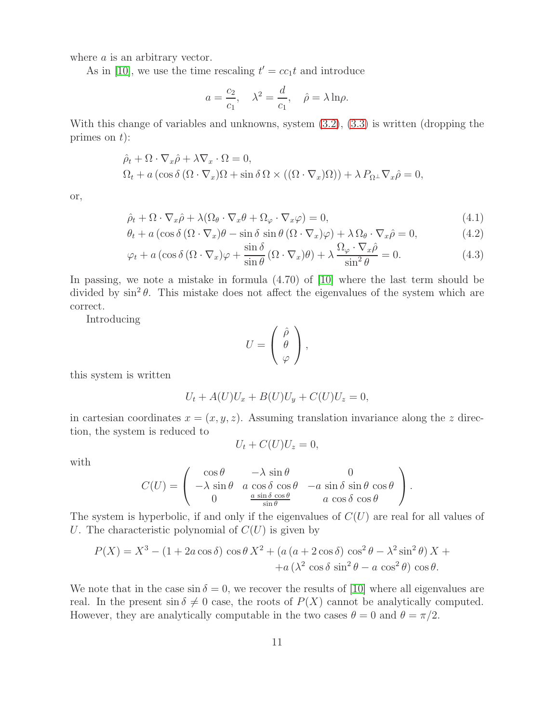where *a* is an arbitrary vector.

As in [\[10\]](#page-16-0), we use the time rescaling  $t' = cc_1t$  and introduce

$$
a = \frac{c_2}{c_1}
$$
,  $\lambda^2 = \frac{d}{c_1}$ ,  $\hat{\rho} = \lambda \ln \rho$ .

With this change of variables and unknowns, system  $(3.2)$ ,  $(3.3)$  is written (dropping the primes on  $t$ :

$$
\hat{\rho}_t + \Omega \cdot \nabla_x \hat{\rho} + \lambda \nabla_x \cdot \Omega = 0,\n\Omega_t + a \left( \cos \delta \left( \Omega \cdot \nabla_x \right) \Omega + \sin \delta \Omega \times \left( (\Omega \cdot \nabla_x) \Omega \right) \right) + \lambda P_{\Omega^\perp} \nabla_x \hat{\rho} = 0,
$$

or,

$$
\hat{\rho}_t + \Omega \cdot \nabla_x \hat{\rho} + \lambda (\Omega_\theta \cdot \nabla_x \theta + \Omega_\varphi \cdot \nabla_x \varphi) = 0, \tag{4.1}
$$

$$
\theta_t + a\left(\cos\delta\left(\Omega \cdot \nabla_x\right)\theta - \sin\delta\sin\theta\left(\Omega \cdot \nabla_x\right)\varphi\right) + \lambda\,\Omega_\theta \cdot \nabla_x\hat{\rho} = 0,\tag{4.2}
$$

$$
\varphi_t + a \left( \cos \delta \left( \Omega \cdot \nabla_x \right) \varphi + \frac{\sin \delta}{\sin \theta} \left( \Omega \cdot \nabla_x \right) \theta \right) + \lambda \frac{\Omega_\varphi \cdot \nabla_x \hat{\rho}}{\sin^2 \theta} = 0. \tag{4.3}
$$

In passing, we note a mistake in formula (4.70) of [\[10\]](#page-16-0) where the last term should be divided by  $\sin^2 \theta$ . This mistake does not affect the eigenvalues of the system which are correct.

Introducing

$$
U = \left(\begin{array}{c} \hat{\rho} \\ \theta \\ \varphi \end{array}\right),
$$

this system is written

$$
U_t + A(U)U_x + B(U)U_y + C(U)U_z = 0,
$$

in cartesian coordinates  $x = (x, y, z)$ . Assuming translation invariance along the z direction, the system is reduced to

$$
U_t + C(U)U_z = 0,
$$

with

$$
C(U) = \begin{pmatrix} \cos \theta & -\lambda \sin \theta & 0 \\ -\lambda \sin \theta & a \cos \delta \cos \theta & -a \sin \delta \sin \theta \cos \theta \\ 0 & \frac{a \sin \delta \cos \theta}{\sin \theta} & a \cos \delta \cos \theta \end{pmatrix}.
$$

The system is hyperbolic, if and only if the eigenvalues of  $C(U)$  are real for all values of U. The characteristic polynomial of  $C(U)$  is given by

$$
P(X) = X3 - (1 + 2a\cos\delta)\cos\theta X2 + (a (a + 2\cos\delta)\cos^{2}\theta - \lambda^{2}\sin^{2}\theta) X ++ a (\lambda^{2}\cos\delta\sin^{2}\theta - a\cos^{2}\theta)\cos\theta.
$$

We note that in the case  $\sin \delta = 0$ , we recover the results of [\[10\]](#page-16-0) where all eigenvalues are real. In the present  $\sin \delta \neq 0$  case, the roots of  $P(X)$  cannot be analytically computed. However, they are analytically computable in the two cases  $\theta = 0$  and  $\theta = \pi/2$ .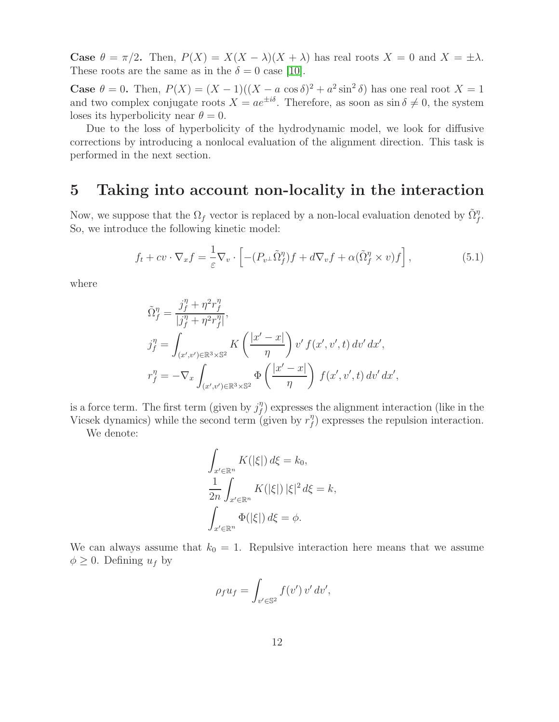**Case**  $\theta = \pi/2$ . Then,  $P(X) = X(X - \lambda)(X + \lambda)$  has real roots  $X = 0$  and  $X = \pm \lambda$ . These roots are the same as in the  $\delta = 0$  case [\[10\]](#page-16-0).

Case  $\theta = 0$ . Then,  $P(X) = (X - 1)((X - a \cos \delta)^2 + a^2 \sin^2 \delta)$  has one real root  $X = 1$ and two complex conjugate roots  $X = ae^{\pm i\delta}$ . Therefore, as soon as  $\sin \delta \neq 0$ , the system loses its hyperbolicity near  $\theta = 0$ .

Due to the loss of hyperbolicity of the hydrodynamic model, we look for diffusive corrections by introducing a nonlocal evaluation of the alignment direction. This task is performed in the next section.

### <span id="page-11-0"></span>5 Taking into account non-locality in the interaction

Now, we suppose that the  $\Omega_f$  vector is replaced by a non-local evaluation denoted by  $\tilde{\Omega}_f^{\eta}$ . So, we introduce the following kinetic model:

$$
f_t + cv \cdot \nabla_x f = \frac{1}{\varepsilon} \nabla_v \cdot \left[ -(P_{v^\perp} \tilde{\Omega}_f^{\eta}) f + d \nabla_v f + \alpha (\tilde{\Omega}_f^{\eta} \times v) f \right],\tag{5.1}
$$

where

$$
\begin{aligned}\n\tilde{\Omega}_f^\eta &= \frac{j_f^\eta + \eta^2 r_f^\eta}{|j_f^\eta + \eta^2 r_f^\eta|}, \\
j_f^\eta &= \int_{(x',v') \in \mathbb{R}^3 \times \mathbb{S}^2} K\left(\frac{|x'-x|}{\eta}\right) v' f(x',v',t) \, dv' \, dx', \\
r_f^\eta &= -\nabla_x \int_{(x',v') \in \mathbb{R}^3 \times \mathbb{S}^2} \Phi\left(\frac{|x'-x|}{\eta}\right) f(x',v',t) \, dv' \, dx',\n\end{aligned}
$$

is a force term. The first term (given by  $j_f^{\eta}$  $f_{f}^{\eta}$ ) expresses the alignment interaction (like in the Vicsek dynamics) while the second term (given by  $r_f^{\eta}$  $f_{f}^{\eta}$ ) expresses the repulsion interaction.

We denote:

$$
\int_{x' \in \mathbb{R}^n} K(|\xi|) d\xi = k_0,
$$
  

$$
\frac{1}{2n} \int_{x' \in \mathbb{R}^n} K(|\xi|) |\xi|^2 d\xi = k,
$$
  

$$
\int_{x' \in \mathbb{R}^n} \Phi(|\xi|) d\xi = \phi.
$$

We can always assume that  $k_0 = 1$ . Repulsive interaction here means that we assume  $\phi \geq 0$ . Defining  $u_f$  by

$$
\rho_f u_f = \int_{v' \in \mathbb{S}^2} f(v') v' dv',
$$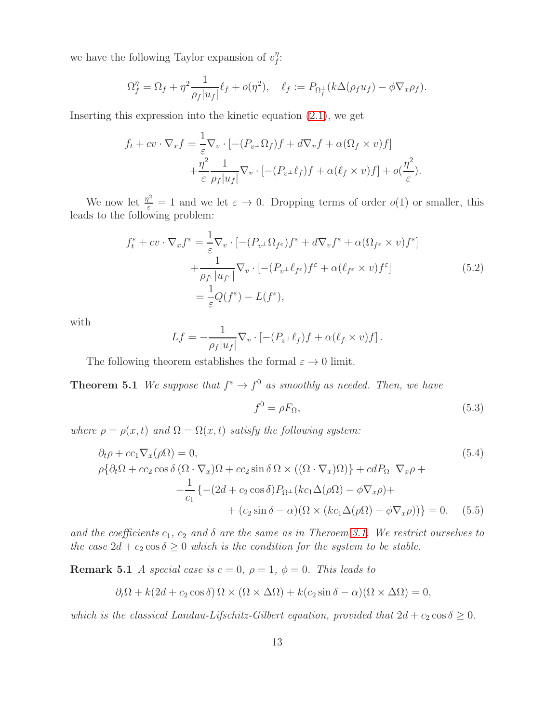we have the following Taylor expansion of  $v_f^{\eta}$  $^{\eta}$ :

$$
\Omega_f^{\eta} = \Omega_f + \eta^2 \frac{1}{\rho_f |u_f|} \ell_f + o(\eta^2), \quad \ell_f := P_{\Omega_f^{\perp}} (k \Delta(\rho_f u_f) - \phi \nabla_x \rho_f).
$$

Inserting this expression into the kinetic equation [\(2.1\)](#page-3-1), we get

$$
f_t + cv \cdot \nabla_x f = \frac{1}{\varepsilon} \nabla_v \cdot \left[ -(P_{v^\perp} \Omega_f) f + d \nabla_v f + \alpha (\Omega_f \times v) f \right] + \frac{\eta^2}{\varepsilon} \frac{1}{\rho_f |u_f|} \nabla_v \cdot \left[ -(P_{v^\perp} \ell_f) f + \alpha (\ell_f \times v) f \right] + o(\frac{\eta^2}{\varepsilon}).
$$

We now let  $\frac{\eta^2}{\varepsilon} = 1$  and we let  $\varepsilon \to 0$ . Dropping terms of order  $o(1)$  or smaller, this leads to the following problem:

$$
f_t^{\varepsilon} + cv \cdot \nabla_x f^{\varepsilon} = \frac{1}{\varepsilon} \nabla_v \cdot \left[ -(P_{v^{\perp}} \Omega_{f^{\varepsilon}}) f^{\varepsilon} + d \nabla_v f^{\varepsilon} + \alpha (\Omega_{f^{\varepsilon}} \times v) f^{\varepsilon} \right]
$$
  
+ 
$$
\frac{1}{\rho_{f^{\varepsilon}} |u_{f^{\varepsilon}}|} \nabla_v \cdot \left[ -(P_{v^{\perp}} \ell_{f^{\varepsilon}}) f^{\varepsilon} + \alpha (\ell_{f^{\varepsilon}} \times v) f^{\varepsilon} \right]
$$

$$
= \frac{1}{\varepsilon} Q(f^{\varepsilon}) - L(f^{\varepsilon}), \tag{5.2}
$$

with

$$
Lf = -\frac{1}{\rho_f|u_f|}\nabla_v \cdot \left[ -(P_{v^\perp}\ell_f)f + \alpha(\ell_f \times v)f \right].
$$

The following theorem establishes the formal  $\varepsilon \to 0$  limit.

**Theorem 5.1** We suppose that  $f^{\varepsilon} \to f^0$  as smoothly as needed. Then, we have

$$
f^0 = \rho F_{\Omega},\tag{5.3}
$$

where  $\rho = \rho(x, t)$  and  $\Omega = \Omega(x, t)$  satisfy the following system:

<span id="page-12-0"></span>
$$
\partial_t \rho + cc_1 \nabla_x (\rho \Omega) = 0,
$$
\n
$$
\rho \{\partial_t \Omega + cc_2 \cos \delta (\Omega \cdot \nabla_x) \Omega + cc_2 \sin \delta \Omega \times ((\Omega \cdot \nabla_x) \Omega) \} + cdP_{\Omega} \cdot \nabla_x \rho +
$$
\n
$$
+ \frac{1}{c_1} \{ -(2d + c_2 \cos \delta) P_{\Omega} \cdot (kc_1 \Delta(\rho \Omega) - \phi \nabla_x \rho) +
$$
\n
$$
+ (c_2 \sin \delta - \alpha) (\Omega \times (kc_1 \Delta(\rho \Omega) - \phi \nabla_x \rho)) \} = 0.
$$
\n(5.5)

and the coefficients  $c_1$ ,  $c_2$  and  $\delta$  are the same as in Theroem [3.1.](#page-6-4) We restrict ourselves to the case  $2d + c_2 \cos \delta \geq 0$  which is the condition for the system to be stable.

**Remark 5.1** A special case is  $c = 0$ ,  $\rho = 1$ ,  $\phi = 0$ . This leads to

$$
\partial_t \Omega + k(2d + c_2 \cos \delta) \Omega \times (\Omega \times \Delta \Omega) + k(c_2 \sin \delta - \alpha)(\Omega \times \Delta \Omega) = 0,
$$

which is the classical Landau-Lifschitz-Gilbert equation, provided that  $2d + c_2 \cos \delta \geq 0$ .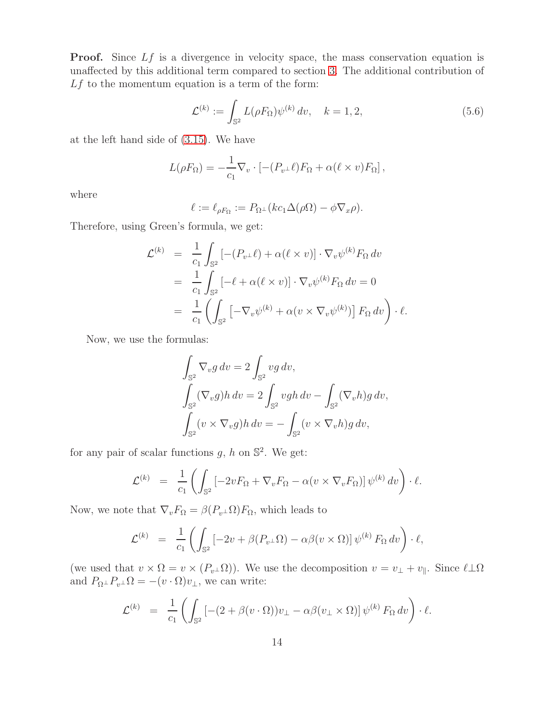**Proof.** Since Lf is a divergence in velocity space, the mass conservation equation is unaffected by this additional term compared to section [3.](#page-6-0) The additional contribution of  $Lf$  to the momentum equation is a term of the form:

$$
\mathcal{L}^{(k)} := \int_{\mathbb{S}^2} L(\rho F_{\Omega}) \psi^{(k)} \, dv, \quad k = 1, 2, \tag{5.6}
$$

at the left hand side of [\(3.15\)](#page-8-3). We have

$$
L(\rho F_{\Omega}) = -\frac{1}{c_1} \nabla_v \cdot \left[ -(P_{v^{\perp}} \ell) F_{\Omega} + \alpha (\ell \times v) F_{\Omega} \right],
$$

where

$$
\ell := \ell_{\rho F_{\Omega}} := P_{\Omega^{\perp}}(kc_1 \Delta(\rho \Omega) - \phi \nabla_x \rho).
$$

Therefore, using Green's formula, we get:

$$
\mathcal{L}^{(k)} = \frac{1}{c_1} \int_{\mathbb{S}^2} \left[ -(P_{v^{\perp}} \ell) + \alpha(\ell \times v) \right] \cdot \nabla_v \psi^{(k)} F_{\Omega} dv
$$
  
\n
$$
= \frac{1}{c_1} \int_{\mathbb{S}^2} \left[ -\ell + \alpha(\ell \times v) \right] \cdot \nabla_v \psi^{(k)} F_{\Omega} dv = 0
$$
  
\n
$$
= \frac{1}{c_1} \left( \int_{\mathbb{S}^2} \left[ -\nabla_v \psi^{(k)} + \alpha(v \times \nabla_v \psi^{(k)}) \right] F_{\Omega} dv \right) \cdot \ell.
$$

Now, we use the formulas:

$$
\int_{\mathbb{S}^2} \nabla_v g \, dv = 2 \int_{\mathbb{S}^2} v g \, dv,
$$
  

$$
\int_{\mathbb{S}^2} (\nabla_v g) h \, dv = 2 \int_{\mathbb{S}^2} vgh \, dv - \int_{\mathbb{S}^2} (\nabla_v h) g \, dv,
$$
  

$$
\int_{\mathbb{S}^2} (v \times \nabla_v g) h \, dv = - \int_{\mathbb{S}^2} (v \times \nabla_v h) g \, dv,
$$

for any pair of scalar functions  $g, h$  on  $\mathbb{S}^2$ . We get:

$$
\mathcal{L}^{(k)} = \frac{1}{c_1} \left( \int_{\mathbb{S}^2} \left[ -2v F_{\Omega} + \nabla_v F_{\Omega} - \alpha (v \times \nabla_v F_{\Omega}) \right] \psi^{(k)} dv \right) \cdot \ell.
$$

Now, we note that  $\nabla_v F_{\Omega} = \beta(P_v \Delta) F_{\Omega}$ , which leads to

$$
\mathcal{L}^{(k)} = \frac{1}{c_1} \left( \int_{\mathbb{S}^2} \left[ -2v + \beta (P_{v^{\perp}} \Omega) - \alpha \beta (v \times \Omega) \right] \psi^{(k)} F_{\Omega} dv \right) \cdot \ell,
$$

(we used that  $v \times \Omega = v \times (P_{v^{\perp}}\Omega)$ ). We use the decomposition  $v = v_{\perp} + v_{\parallel}$ . Since  $\ell \perp \Omega$ and  $P_{\Omega^{\perp}}P_{v^{\perp}}\Omega = -(v \cdot \Omega)v_{\perp}$ , we can write:

$$
\mathcal{L}^{(k)} = \frac{1}{c_1} \left( \int_{\mathbb{S}^2} \left[ -(2 + \beta(v \cdot \Omega)) v_\perp - \alpha \beta(v_\perp \times \Omega) \right] \psi^{(k)} F_\Omega dv \right) \cdot \ell.
$$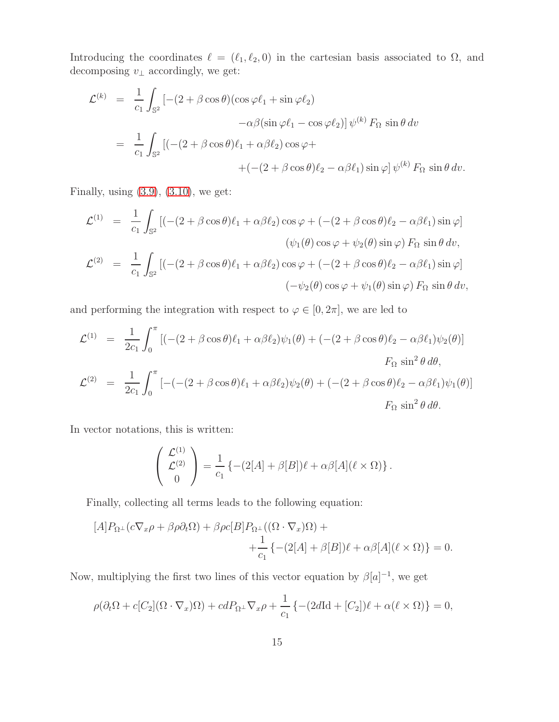Introducing the coordinates  $\ell = (\ell_1, \ell_2, 0)$  in the cartesian basis associated to  $\Omega$ , and decomposing  $v_\perp$  accordingly, we get:

$$
\mathcal{L}^{(k)} = \frac{1}{c_1} \int_{\mathbb{S}^2} \left[ -(2 + \beta \cos \theta)(\cos \varphi \ell_1 + \sin \varphi \ell_2) \right. \\
\left. - \alpha \beta(\sin \varphi \ell_1 - \cos \varphi \ell_2) \right] \psi^{(k)} F_{\Omega} \sin \theta \, dv
$$
\n
$$
= \frac{1}{c_1} \int_{\mathbb{S}^2} \left[ (- (2 + \beta \cos \theta) \ell_1 + \alpha \beta \ell_2) \cos \varphi + \right. \\
\left. + (- (2 + \beta \cos \theta) \ell_2 - \alpha \beta \ell_1) \sin \varphi \right] \psi^{(k)} F_{\Omega} \sin \theta \, dv.
$$

Finally, using  $(3.9)$ ,  $(3.10)$ , we get:

$$
\mathcal{L}^{(1)} = \frac{1}{c_1} \int_{\mathbb{S}^2} \left[ (- (2 + \beta \cos \theta) \ell_1 + \alpha \beta \ell_2) \cos \varphi + (- (2 + \beta \cos \theta) \ell_2 - \alpha \beta \ell_1) \sin \varphi \right] \n(\psi_1(\theta) \cos \varphi + \psi_2(\theta) \sin \varphi) F_{\Omega} \sin \theta dv, \n\mathcal{L}^{(2)} = \frac{1}{c_1} \int_{\mathbb{S}^2} \left[ (- (2 + \beta \cos \theta) \ell_1 + \alpha \beta \ell_2) \cos \varphi + (- (2 + \beta \cos \theta) \ell_2 - \alpha \beta \ell_1) \sin \varphi \right] \n(- \psi_2(\theta) \cos \varphi + \psi_1(\theta) \sin \varphi) F_{\Omega} \sin \theta dv,
$$

and performing the integration with respect to  $\varphi \in [0, 2\pi]$ , we are led to

$$
\mathcal{L}^{(1)} = \frac{1}{2c_1} \int_0^{\pi} \left[ (- (2 + \beta \cos \theta) \ell_1 + \alpha \beta \ell_2) \psi_1(\theta) + (- (2 + \beta \cos \theta) \ell_2 - \alpha \beta \ell_1) \psi_2(\theta) \right]
$$
  
\n
$$
F_{\Omega} \sin^2 \theta \, d\theta,
$$
  
\n
$$
\mathcal{L}^{(2)} = \frac{1}{2c_1} \int_0^{\pi} \left[ -(- (2 + \beta \cos \theta) \ell_1 + \alpha \beta \ell_2) \psi_2(\theta) + (- (2 + \beta \cos \theta) \ell_2 - \alpha \beta \ell_1) \psi_1(\theta) \right]
$$
  
\n
$$
F_{\Omega} \sin^2 \theta \, d\theta.
$$

In vector notations, this is written:

$$
\begin{pmatrix} \mathcal{L}^{(1)} \\ \mathcal{L}^{(2)} \\ 0 \end{pmatrix} = \frac{1}{c_1} \left\{ -(2[A] + \beta[B])\ell + \alpha\beta[A](\ell \times \Omega) \right\}.
$$

Finally, collecting all terms leads to the following equation:

$$
[A]P_{\Omega^{\perp}}(c\nabla_x \rho + \beta \rho \partial_t \Omega) + \beta \rho c[B]P_{\Omega^{\perp}}((\Omega \cdot \nabla_x)\Omega) +
$$
  

$$
+ \frac{1}{c_1} \{- (2[A] + \beta[B])\ell + \alpha \beta[A](\ell \times \Omega) \} = 0.
$$

Now, multiplying the first two lines of this vector equation by  $\beta[a]^{-1}$ , we get

$$
\rho(\partial_t \Omega + c[C_2](\Omega \cdot \nabla_x)\Omega) + cdP_{\Omega^{\perp}} \nabla_x \rho + \frac{1}{c_1} \left\{ -(2d\text{Id} + [C_2])\ell + \alpha(\ell \times \Omega) \right\} = 0,
$$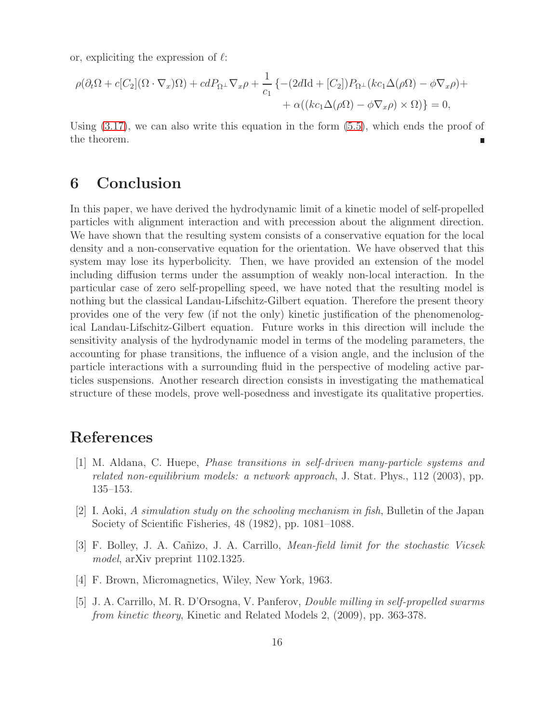or, expliciting the expression of  $\ell$ :

$$
\rho(\partial_t \Omega + c[C_2](\Omega \cdot \nabla_x)\Omega) + cdP_{\Omega^{\perp}} \nabla_x \rho + \frac{1}{c_1} \left\{ -(2d\text{Id} + [C_2])P_{\Omega^{\perp}}(kc_1\Delta(\rho\Omega) - \phi \nabla_x \rho) + \alpha((kc_1\Delta(\rho\Omega) - \phi \nabla_x \rho) \times \Omega) \right\} = 0,
$$

Using  $(3.17)$ , we can also write this equation in the form  $(5.5)$ , which ends the proof of the theorem.

## <span id="page-15-5"></span>6 Conclusion

In this paper, we have derived the hydrodynamic limit of a kinetic model of self-propelled particles with alignment interaction and with precession about the alignment direction. We have shown that the resulting system consists of a conservative equation for the local density and a non-conservative equation for the orientation. We have observed that this system may lose its hyperbolicity. Then, we have provided an extension of the model including diffusion terms under the assumption of weakly non-local interaction. In the particular case of zero self-propelling speed, we have noted that the resulting model is nothing but the classical Landau-Lifschitz-Gilbert equation. Therefore the present theory provides one of the very few (if not the only) kinetic justification of the phenomenological Landau-Lifschitz-Gilbert equation. Future works in this direction will include the sensitivity analysis of the hydrodynamic model in terms of the modeling parameters, the accounting for phase transitions, the influence of a vision angle, and the inclusion of the particle interactions with a surrounding fluid in the perspective of modeling active particles suspensions. Another research direction consists in investigating the mathematical structure of these models, prove well-posedness and investigate its qualitative properties.

## <span id="page-15-1"></span>References

- [1] M. Aldana, C. Huepe, Phase transitions in self-driven many-particle systems and related non-equilibrium models: a network approach, J. Stat. Phys., 112 (2003), pp. 135–153.
- <span id="page-15-2"></span>[2] I. Aoki, A simulation study on the schooling mechanism in fish, Bulletin of the Japan Society of Scientific Fisheries, 48 (1982), pp. 1081–1088.
- <span id="page-15-3"></span><span id="page-15-0"></span>[3] F. Bolley, J. A. Cañizo, J. A. Carrillo, *Mean-field limit for the stochastic Vicsek* model, arXiv preprint 1102.1325.
- <span id="page-15-4"></span>[4] F. Brown, Micromagnetics, Wiley, New York, 1963.
- [5] J. A. Carrillo, M. R. D'Orsogna, V. Panferov, Double milling in self-propelled swarms from kinetic theory, Kinetic and Related Models 2, (2009), pp. 363-378.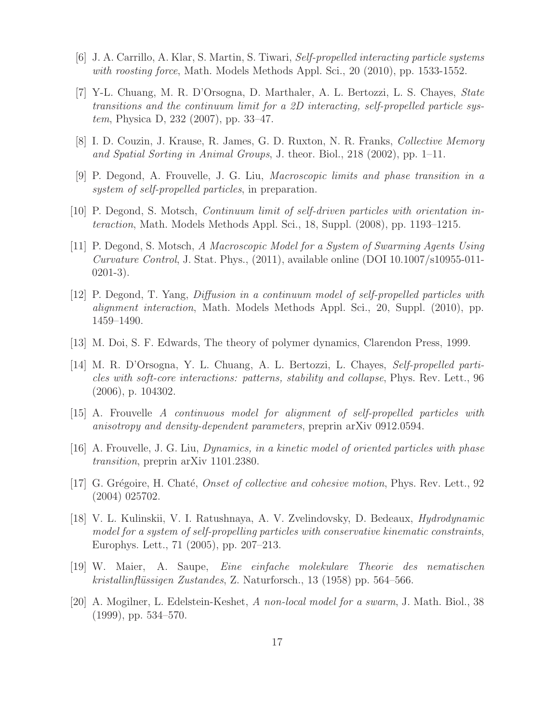- <span id="page-16-9"></span><span id="page-16-3"></span>[6] J. A. Carrillo, A. Klar, S. Martin, S. Tiwari, Self-propelled interacting particle systems with roosting force, Math. Models Methods Appl. Sci., 20 (2010), pp. 1533-1552.
- [7] Y-L. Chuang, M. R. D'Orsogna, D. Marthaler, A. L. Bertozzi, L. S. Chayes, State transitions and the continuum limit for a 2D interacting, self-propelled particle system, Physica D, 232 (2007), pp. 33–47.
- <span id="page-16-12"></span><span id="page-16-1"></span>[8] I. D. Couzin, J. Krause, R. James, G. D. Ruxton, N. R. Franks, Collective Memory and Spatial Sorting in Animal Groups, J. theor. Biol., 218 (2002), pp. 1–11.
- <span id="page-16-0"></span>[9] P. Degond, A. Frouvelle, J. G. Liu, Macroscopic limits and phase transition in a system of self-propelled particles, in preparation.
- <span id="page-16-7"></span>[10] P. Degond, S. Motsch, Continuum limit of self-driven particles with orientation interaction, Math. Models Methods Appl. Sci., 18, Suppl. (2008), pp. 1193–1215.
- [11] P. Degond, S. Motsch, A Macroscopic Model for a System of Swarming Agents Using Curvature Control, J. Stat. Phys., (2011), available online (DOI 10.1007/s10955-011- 0201-3).
- <span id="page-16-8"></span>[12] P. Degond, T. Yang, Diffusion in a continuum model of self-propelled particles with alignment interaction, Math. Models Methods Appl. Sci., 20, Suppl. (2010), pp. 1459–1490.
- <span id="page-16-13"></span><span id="page-16-4"></span>[13] M. Doi, S. F. Edwards, The theory of polymer dynamics, Clarendon Press, 1999.
- [14] M. R. D'Orsogna, Y. L. Chuang, A. L. Bertozzi, L. Chayes, Self-propelled particles with soft-core interactions: patterns, stability and collapse, Phys. Rev. Lett., 96 (2006), p. 104302.
- <span id="page-16-11"></span><span id="page-16-10"></span>[15] A. Frouvelle A continuous model for alignment of self-propelled particles with anisotropy and density-dependent parameters, preprin arXiv 0912.0594.
- <span id="page-16-2"></span>[16] A. Frouvelle, J. G. Liu, Dynamics, in a kinetic model of oriented particles with phase transition, preprin arXiv 1101.2380.
- [17] G. Grégoire, H. Chaté, *Onset of collective and cohesive motion*, Phys. Rev. Lett.,  $92$ (2004) 025702.
- <span id="page-16-6"></span>[18] V. L. Kulinskii, V. I. Ratushnaya, A. V. Zvelindovsky, D. Bedeaux, Hydrodynamic model for a system of self-propelling particles with conservative kinematic constraints, Europhys. Lett., 71 (2005), pp. 207–213.
- <span id="page-16-14"></span>[19] W. Maier, A. Saupe, Eine einfache molekulare Theorie des nematischen kristallinflüssigen Zustandes, Z. Naturforsch., 13 $(1958)$  pp. 564–566.
- <span id="page-16-5"></span>[20] A. Mogilner, L. Edelstein-Keshet, A non-local model for a swarm, J. Math. Biol., 38 (1999), pp. 534–570.